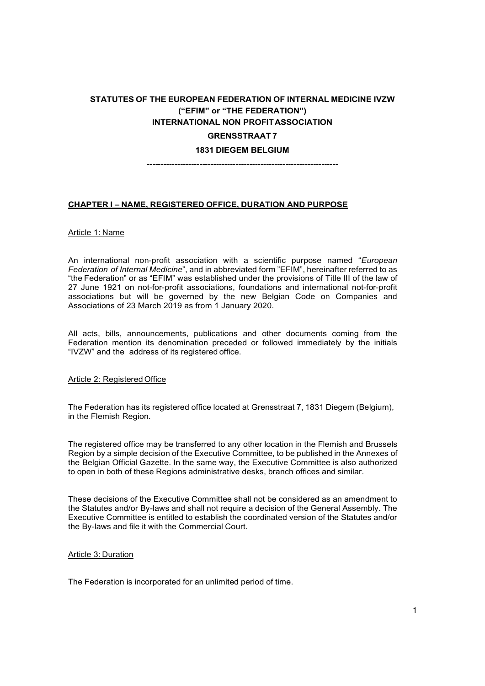# STATUTES OF THE EUROPEAN FEDERATION OF INTERNAL MEDICINE IVZW ("EFIM" or "THE FEDERATION") INTERNATIONAL NON PROFIT ASSOCIATION GRENSSTRAAT 7

### 1831 DIEGEM BELGIUM

---------------------------------------------------------------------

#### CHAPTER I – NAME, REGISTERED OFFICE, DURATION AND PURPOSE

#### Article 1: Name

An international non-profit association with a scientific purpose named "European Federation of Internal Medicine", and in abbreviated form "EFIM", hereinafter referred to as "the Federation" or as "EFIM" was established under the provisions of Title III of the law of 27 June 1921 on not-for-profit associations, foundations and international not-for-profit associations but will be governed by the new Belgian Code on Companies and Associations of 23 March 2019 as from 1 January 2020.

All acts, bills, announcements, publications and other documents coming from the Federation mention its denomination preceded or followed immediately by the initials "IVZW" and the address of its registered office.

#### Article 2: Registered Office

The Federation has its registered office located at Grensstraat 7, 1831 Diegem (Belgium), in the Flemish Region.

The registered office may be transferred to any other location in the Flemish and Brussels Region by a simple decision of the Executive Committee, to be published in the Annexes of the Belgian Official Gazette. In the same way, the Executive Committee is also authorized to open in both of these Regions administrative desks, branch offices and similar.

These decisions of the Executive Committee shall not be considered as an amendment to the Statutes and/or By-laws and shall not require a decision of the General Assembly. The Executive Committee is entitled to establish the coordinated version of the Statutes and/or the By-laws and file it with the Commercial Court.

#### Article 3: Duration

The Federation is incorporated for an unlimited period of time.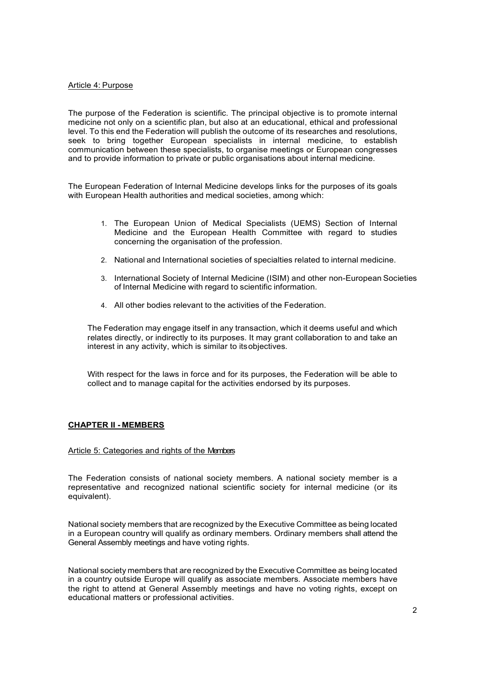### Article 4: Purpose

The purpose of the Federation is scientific. The principal objective is to promote internal medicine not only on a scientific plan, but also at an educational, ethical and professional level. To this end the Federation will publish the outcome of its researches and resolutions, seek to bring together European specialists in internal medicine, to establish communication between these specialists, to organise meetings or European congresses and to provide information to private or public organisations about internal medicine.

The European Federation of Internal Medicine develops links for the purposes of its goals with European Health authorities and medical societies, among which:

- 1. The European Union of Medical Specialists (UEMS) Section of Internal Medicine and the European Health Committee with regard to studies concerning the organisation of the profession.
- 2. National and International societies of specialties related to internal medicine.
- 3. International Society of Internal Medicine (ISIM) and other non-European Societies of Internal Medicine with regard to scientific information.
- 4. All other bodies relevant to the activities of the Federation.

The Federation may engage itself in any transaction, which it deems useful and which relates directly, or indirectly to its purposes. It may grant collaboration to and take an interest in any activity, which is similar to its objectives.

With respect for the laws in force and for its purposes, the Federation will be able to collect and to manage capital for the activities endorsed by its purposes.

### CHAPTER II - MEMBERS

#### Article 5: Categories and rights of the Members

The Federation consists of national society members. A national society member is a representative and recognized national scientific society for internal medicine (or its equivalent).

National society members that are recognized by the Executive Committee as being located in a European country will qualify as ordinary members. Ordinary members shall attend the General Assembly meetings and have voting rights.

National society members that are recognized by the Executive Committee as being located in a country outside Europe will qualify as associate members. Associate members have the right to attend at General Assembly meetings and have no voting rights, except on educational matters or professional activities.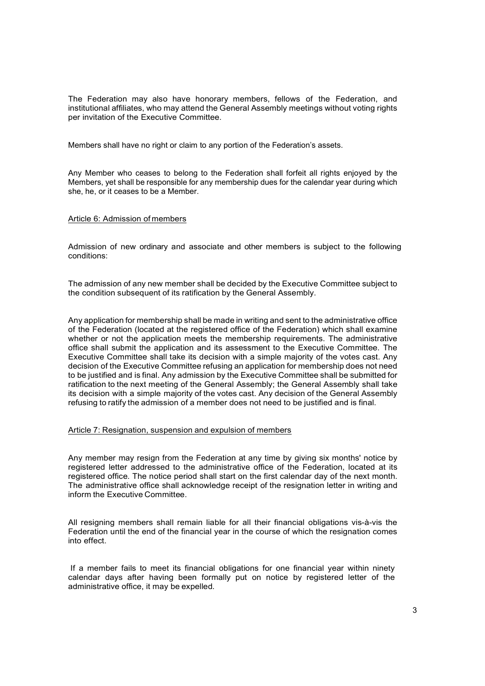The Federation may also have honorary members, fellows of the Federation, and institutional affiliates, who may attend the General Assembly meetings without voting rights per invitation of the Executive Committee.

Members shall have no right or claim to any portion of the Federation's assets.

Any Member who ceases to belong to the Federation shall forfeit all rights enjoyed by the Members, yet shall be responsible for any membership dues for the calendar year during which she, he, or it ceases to be a Member.

#### Article 6: Admission of members

Admission of new ordinary and associate and other members is subject to the following conditions:

The admission of any new member shall be decided by the Executive Committee subject to the condition subsequent of its ratification by the General Assembly.

Any application for membership shall be made in writing and sent to the administrative office of the Federation (located at the registered office of the Federation) which shall examine whether or not the application meets the membership requirements. The administrative office shall submit the application and its assessment to the Executive Committee. The Executive Committee shall take its decision with a simple majority of the votes cast. Any decision of the Executive Committee refusing an application for membership does not need to be justified and is final. Any admission by the Executive Committee shall be submitted for ratification to the next meeting of the General Assembly; the General Assembly shall take its decision with a simple majority of the votes cast. Any decision of the General Assembly refusing to ratify the admission of a member does not need to be justified and is final.

#### Article 7: Resignation, suspension and expulsion of members

Any member may resign from the Federation at any time by giving six months' notice by registered letter addressed to the administrative office of the Federation, located at its registered office. The notice period shall start on the first calendar day of the next month. The administrative office shall acknowledge receipt of the resignation letter in writing and inform the Executive Committee.

All resigning members shall remain liable for all their financial obligations vis-à-vis the Federation until the end of the financial year in the course of which the resignation comes into effect.

 If a member fails to meet its financial obligations for one financial year within ninety calendar days after having been formally put on notice by registered letter of the administrative office, it may be expelled.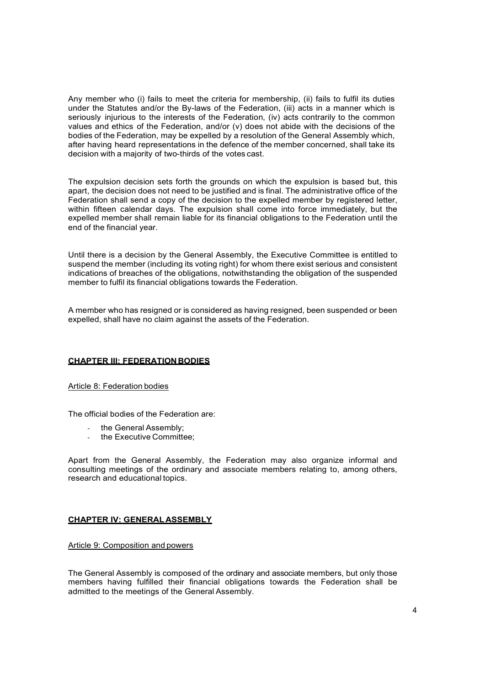Any member who (i) fails to meet the criteria for membership, (ii) fails to fulfil its duties under the Statutes and/or the By-laws of the Federation, (iii) acts in a manner which is seriously injurious to the interests of the Federation, (iv) acts contrarily to the common values and ethics of the Federation, and/or (v) does not abide with the decisions of the bodies of the Federation, may be expelled by a resolution of the General Assembly which, after having heard representations in the defence of the member concerned, shall take its decision with a majority of two-thirds of the votes cast.

The expulsion decision sets forth the grounds on which the expulsion is based but, this apart, the decision does not need to be justified and is final. The administrative office of the Federation shall send a copy of the decision to the expelled member by registered letter, within fifteen calendar days. The expulsion shall come into force immediately, but the expelled member shall remain liable for its financial obligations to the Federation until the end of the financial year.

Until there is a decision by the General Assembly, the Executive Committee is entitled to suspend the member (including its voting right) for whom there exist serious and consistent indications of breaches of the obligations, notwithstanding the obligation of the suspended member to fulfil its financial obligations towards the Federation.

A member who has resigned or is considered as having resigned, been suspended or been expelled, shall have no claim against the assets of the Federation.

### CHAPTER III: FEDERATION BODIES

### Article 8: Federation bodies

The official bodies of the Federation are:

- the General Assembly:
- the Executive Committee:

Apart from the General Assembly, the Federation may also organize informal and consulting meetings of the ordinary and associate members relating to, among others, research and educational topics.

### CHAPTER IV: GENERAL ASSEMBLY

Article 9: Composition and powers

The General Assembly is composed of the ordinary and associate members, but only those members having fulfilled their financial obligations towards the Federation shall be admitted to the meetings of the General Assembly.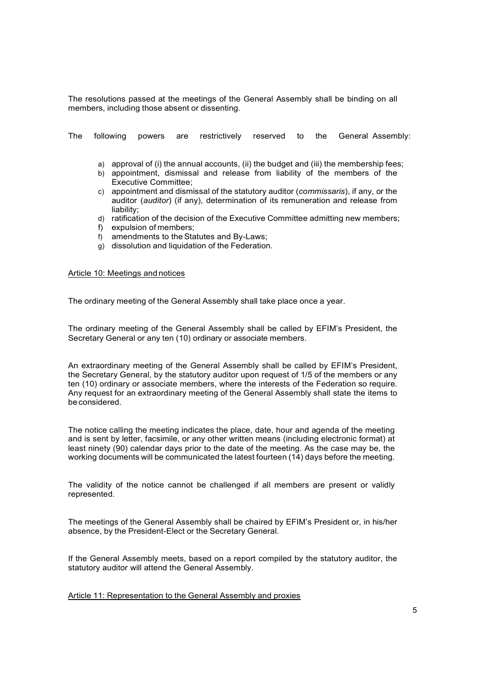The resolutions passed at the meetings of the General Assembly shall be binding on all members, including those absent or dissenting.

The following powers are restrictively reserved to the General Assembly:

- a) approval of (i) the annual accounts, (ii) the budget and (iii) the membership fees;
- b) appointment, dismissal and release from liability of the members of the Executive Committee;
- c) appointment and dismissal of the statutory auditor (commissaris), if any, or the auditor (auditor) (if any), determination of its remuneration and release from liability;
- d) ratification of the decision of the Executive Committee admitting new members;
- f) expulsion of members;
- f) amendments to the Statutes and By-Laws;
- g) dissolution and liquidation of the Federation.

#### Article 10: Meetings and notices

The ordinary meeting of the General Assembly shall take place once a year.

The ordinary meeting of the General Assembly shall be called by EFIM's President, the Secretary General or any ten (10) ordinary or associate members.

An extraordinary meeting of the General Assembly shall be called by EFIM's President, the Secretary General, by the statutory auditor upon request of 1/5 of the members or any ten (10) ordinary or associate members, where the interests of the Federation so require. Any request for an extraordinary meeting of the General Assembly shall state the items to be considered.

The notice calling the meeting indicates the place, date, hour and agenda of the meeting and is sent by letter, facsimile, or any other written means (including electronic format) at least ninety (90) calendar days prior to the date of the meeting. As the case may be, the working documents will be communicated the latest fourteen (14) days before the meeting.

The validity of the notice cannot be challenged if all members are present or validly represented.

The meetings of the General Assembly shall be chaired by EFIM's President or, in his/her absence, by the President-Elect or the Secretary General.

If the General Assembly meets, based on a report compiled by the statutory auditor, the statutory auditor will attend the General Assembly.

Article 11: Representation to the General Assembly and proxies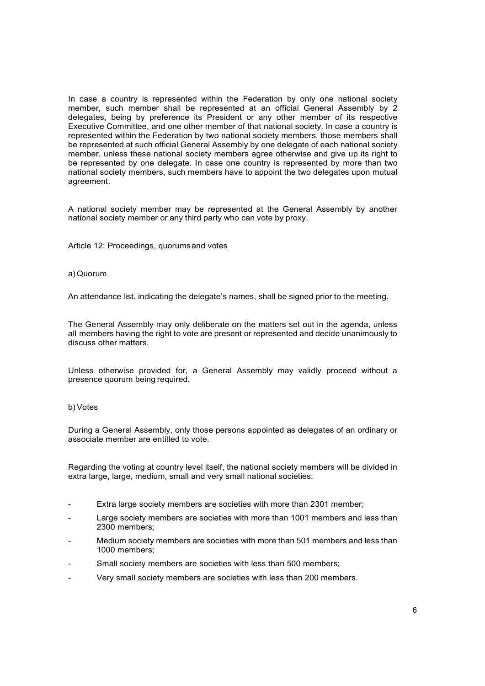In case a country is represented within the Federation by only one national society member, such member shall be represented at an official General Assembly by 2 delegates, being by preference its President or any other member of its respective Executive Committee, and one other member of that national society. In case a country is represented within the Federation by two national society members, those members shall be represented at such official General Assembly by one delegate of each national society member, unless these national society members agree otherwise and give up its right to be represented by one delegate. In case one country is represented by more than two national society members, such members have to appoint the two delegates upon mutual agreement.

A national society member may be represented at the General Assembly by another national society member or any third party who can vote by proxy.

#### Article 12: Proceedings, quorums and votes

#### a) Quorum

An attendance list, indicating the delegate's names, shall be signed prior to the meeting.

The General Assembly may only deliberate on the matters set out in the agenda, unless all members having the right to vote are present or represented and decide unanimously to discuss other matters.

Unless otherwise provided for, a General Assembly may validly proceed without a presence quorum being required.

#### b) Votes

During a General Assembly, only those persons appointed as delegates of an ordinary or associate member are entitled to vote.

Regarding the voting at country level itself, the national society members will be divided in extra large, large, medium, small and very small national societies:

- Extra large society members are societies with more than 2301 member;
- Large society members are societies with more than 1001 members and less than 2300 members;
- Medium society members are societies with more than 501 members and less than 1000 members;
- Small society members are societies with less than 500 members;
- Very small society members are societies with less than 200 members.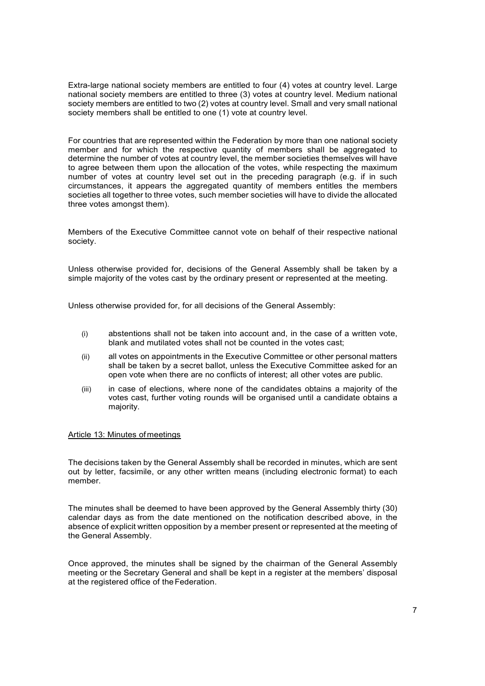Extra-large national society members are entitled to four (4) votes at country level. Large national society members are entitled to three (3) votes at country level. Medium national society members are entitled to two (2) votes at country level. Small and very small national society members shall be entitled to one (1) vote at country level.

 For countries that are represented within the Federation by more than one national society member and for which the respective quantity of members shall be aggregated to determine the number of votes at country level, the member societies themselves will have to agree between them upon the allocation of the votes, while respecting the maximum number of votes at country level set out in the preceding paragraph (e.g. if in such circumstances, it appears the aggregated quantity of members entitles the members societies all together to three votes, such member societies will have to divide the allocated three votes amongst them).

 Members of the Executive Committee cannot vote on behalf of their respective national society.

Unless otherwise provided for, decisions of the General Assembly shall be taken by a simple majority of the votes cast by the ordinary present or represented at the meeting.

Unless otherwise provided for, for all decisions of the General Assembly:

- (i) abstentions shall not be taken into account and, in the case of a written vote, blank and mutilated votes shall not be counted in the votes cast;
- (ii) all votes on appointments in the Executive Committee or other personal matters shall be taken by a secret ballot, unless the Executive Committee asked for an open vote when there are no conflicts of interest; all other votes are public.
- (iii) in case of elections, where none of the candidates obtains a majority of the votes cast, further voting rounds will be organised until a candidate obtains a majority.

### Article 13: Minutes of meetings

The decisions taken by the General Assembly shall be recorded in minutes, which are sent out by letter, facsimile, or any other written means (including electronic format) to each member.

The minutes shall be deemed to have been approved by the General Assembly thirty (30) calendar days as from the date mentioned on the notification described above, in the absence of explicit written opposition by a member present or represented at the meeting of the General Assembly.

Once approved, the minutes shall be signed by the chairman of the General Assembly meeting or the Secretary General and shall be kept in a register at the members' disposal at the registered office of the Federation.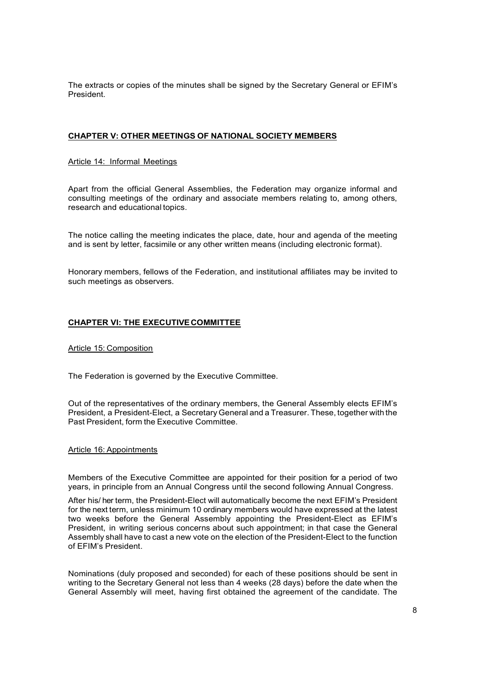The extracts or copies of the minutes shall be signed by the Secretary General or EFIM's President.

## CHAPTER V: OTHER MEETINGS OF NATIONAL SOCIETY MEMBERS

### Article 14: Informal Meetings

Apart from the official General Assemblies, the Federation may organize informal and consulting meetings of the ordinary and associate members relating to, among others, research and educational topics.

The notice calling the meeting indicates the place, date, hour and agenda of the meeting and is sent by letter, facsimile or any other written means (including electronic format).

Honorary members, fellows of the Federation, and institutional affiliates may be invited to such meetings as observers.

### CHAPTER VI: THE EXECUTIVE COMMITTEE

#### Article 15: Composition

The Federation is governed by the Executive Committee.

Out of the representatives of the ordinary members, the General Assembly elects EFIM's President, a President-Elect, a Secretary General and a Treasurer. These, together with the Past President, form the Executive Committee.

### Article 16: Appointments

Members of the Executive Committee are appointed for their position for a period of two years, in principle from an Annual Congress until the second following Annual Congress.

After his/ her term, the President-Elect will automatically become the next EFIM's President for the next term, unless minimum 10 ordinary members would have expressed at the latest two weeks before the General Assembly appointing the President-Elect as EFIM's President, in writing serious concerns about such appointment; in that case the General Assembly shall have to cast a new vote on the election of the President-Elect to the function of EFIM's President.

Nominations (duly proposed and seconded) for each of these positions should be sent in writing to the Secretary General not less than 4 weeks (28 days) before the date when the General Assembly will meet, having first obtained the agreement of the candidate. The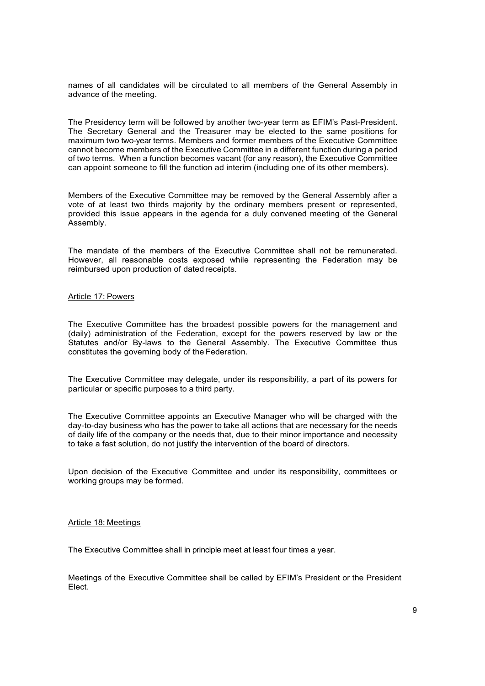names of all candidates will be circulated to all members of the General Assembly in advance of the meeting.

The Presidency term will be followed by another two-year term as EFIM's Past-President. The Secretary General and the Treasurer may be elected to the same positions for maximum two two-year terms. Members and former members of the Executive Committee cannot become members of the Executive Committee in a different function during a period of two terms. When a function becomes vacant (for any reason), the Executive Committee can appoint someone to fill the function ad interim (including one of its other members).

Members of the Executive Committee may be removed by the General Assembly after a vote of at least two thirds majority by the ordinary members present or represented, provided this issue appears in the agenda for a duly convened meeting of the General Assembly.

The mandate of the members of the Executive Committee shall not be remunerated. However, all reasonable costs exposed while representing the Federation may be reimbursed upon production of dated receipts.

#### Article 17: Powers

The Executive Committee has the broadest possible powers for the management and (daily) administration of the Federation, except for the powers reserved by law or the Statutes and/or By-laws to the General Assembly. The Executive Committee thus constitutes the governing body of the Federation.

The Executive Committee may delegate, under its responsibility, a part of its powers for particular or specific purposes to a third party.

The Executive Committee appoints an Executive Manager who will be charged with the day-to-day business who has the power to take all actions that are necessary for the needs of daily life of the company or the needs that, due to their minor importance and necessity to take a fast solution, do not justify the intervention of the board of directors.

Upon decision of the Executive Committee and under its responsibility, committees or working groups may be formed.

#### Article 18: Meetings

The Executive Committee shall in principle meet at least four times a year.

Meetings of the Executive Committee shall be called by EFIM's President or the President Elect.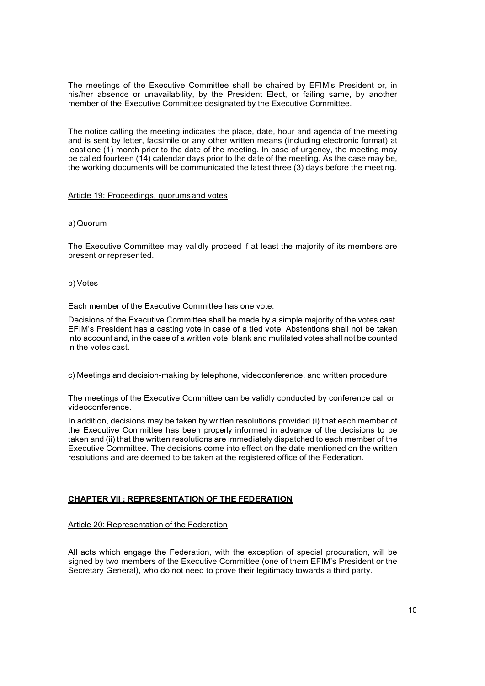The meetings of the Executive Committee shall be chaired by EFIM's President or, in his/her absence or unavailability, by the President Elect, or failing same, by another member of the Executive Committee designated by the Executive Committee.

The notice calling the meeting indicates the place, date, hour and agenda of the meeting and is sent by letter, facsimile or any other written means (including electronic format) at least one (1) month prior to the date of the meeting. In case of urgency, the meeting may be called fourteen (14) calendar days prior to the date of the meeting. As the case may be, the working documents will be communicated the latest three (3) days before the meeting.

### Article 19: Proceedings, quorums and votes

### a) Quorum

The Executive Committee may validly proceed if at least the majority of its members are present or represented.

### b) Votes

Each member of the Executive Committee has one vote.

Decisions of the Executive Committee shall be made by a simple majority of the votes cast. EFIM's President has a casting vote in case of a tied vote. Abstentions shall not be taken into account and, in the case of a written vote, blank and mutilated votes shall not be counted in the votes cast.

c) Meetings and decision-making by telephone, videoconference, and written procedure

The meetings of the Executive Committee can be validly conducted by conference call or videoconference.

In addition, decisions may be taken by written resolutions provided (i) that each member of the Executive Committee has been properly informed in advance of the decisions to be taken and (ii) that the written resolutions are immediately dispatched to each member of the Executive Committee. The decisions come into effect on the date mentioned on the written resolutions and are deemed to be taken at the registered office of the Federation.

# CHAPTER VII : REPRESENTATION OF THE FEDERATION

### Article 20: Representation of the Federation

All acts which engage the Federation, with the exception of special procuration, will be signed by two members of the Executive Committee (one of them EFIM's President or the Secretary General), who do not need to prove their legitimacy towards a third party.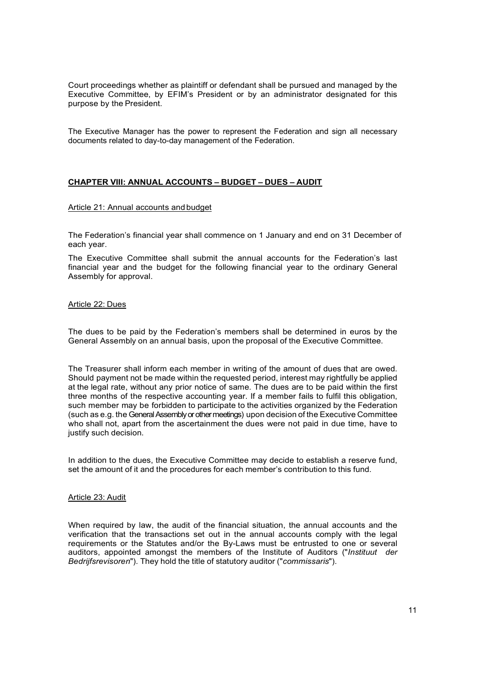Court proceedings whether as plaintiff or defendant shall be pursued and managed by the Executive Committee, by EFIM's President or by an administrator designated for this purpose by the President.

The Executive Manager has the power to represent the Federation and sign all necessary documents related to day-to-day management of the Federation.

## CHAPTER VIII: ANNUAL ACCOUNTS – BUDGET – DUES – AUDIT

### Article 21: Annual accounts and budget

The Federation's financial year shall commence on 1 January and end on 31 December of each year.

The Executive Committee shall submit the annual accounts for the Federation's last financial year and the budget for the following financial year to the ordinary General Assembly for approval.

#### Article 22: Dues

The dues to be paid by the Federation's members shall be determined in euros by the General Assembly on an annual basis, upon the proposal of the Executive Committee.

The Treasurer shall inform each member in writing of the amount of dues that are owed. Should payment not be made within the requested period, interest may rightfully be applied at the legal rate, without any prior notice of same. The dues are to be paid within the first three months of the respective accounting year. If a member fails to fulfil this obligation, such member may be forbidden to participate to the activities organized by the Federation (such as e.g. the General Assembly or other meetings) upon decision of the Executive Committee who shall not, apart from the ascertainment the dues were not paid in due time, have to justify such decision.

In addition to the dues, the Executive Committee may decide to establish a reserve fund, set the amount of it and the procedures for each member's contribution to this fund.

#### Article 23: Audit

When required by law, the audit of the financial situation, the annual accounts and the verification that the transactions set out in the annual accounts comply with the legal requirements or the Statutes and/or the By-Laws must be entrusted to one or several auditors, appointed amongst the members of the Institute of Auditors ("Instituut der Bedrijfsrevisoren"). They hold the title of statutory auditor ("commissaris").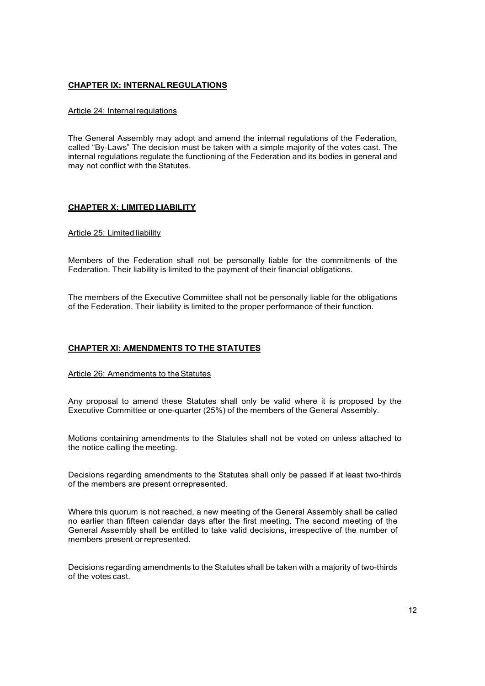### CHAPTER IX: INTERNAL REGULATIONS

### Article 24: Internal regulations

The General Assembly may adopt and amend the internal regulations of the Federation, called "By-Laws" The decision must be taken with a simple majority of the votes cast. The internal regulations regulate the functioning of the Federation and its bodies in general and may not conflict with the Statutes.

### CHAPTER X: LIMITED LIABILITY

### Article 25: Limited liability

Members of the Federation shall not be personally liable for the commitments of the Federation. Their liability is limited to the payment of their financial obligations.

The members of the Executive Committee shall not be personally liable for the obligations of the Federation. Their liability is limited to the proper performance of their function.

### CHAPTER XI: AMENDMENTS TO THE STATUTES

#### Article 26: Amendments to the Statutes

Any proposal to amend these Statutes shall only be valid where it is proposed by the Executive Committee or one-quarter (25%) of the members of the General Assembly.

Motions containing amendments to the Statutes shall not be voted on unless attached to the notice calling the meeting.

Decisions regarding amendments to the Statutes shall only be passed if at least two-thirds of the members are present or represented.

Where this quorum is not reached, a new meeting of the General Assembly shall be called no earlier than fifteen calendar days after the first meeting. The second meeting of the General Assembly shall be entitled to take valid decisions, irrespective of the number of members present or represented.

Decisions regarding amendments to the Statutes shall be taken with a majority of two-thirds of the votes cast.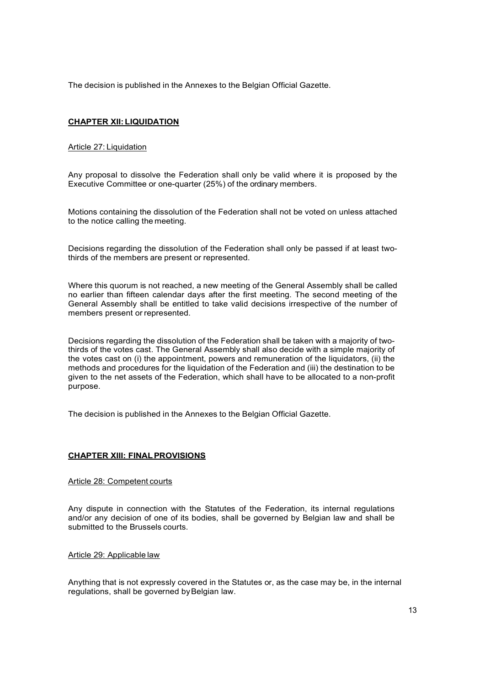The decision is published in the Annexes to the Belgian Official Gazette.

# CHAPTER XII: LIQUIDATION

### Article 27: Liquidation

Any proposal to dissolve the Federation shall only be valid where it is proposed by the Executive Committee or one-quarter (25%) of the ordinary members.

Motions containing the dissolution of the Federation shall not be voted on unless attached to the notice calling the meeting.

Decisions regarding the dissolution of the Federation shall only be passed if at least twothirds of the members are present or represented.

Where this quorum is not reached, a new meeting of the General Assembly shall be called no earlier than fifteen calendar days after the first meeting. The second meeting of the General Assembly shall be entitled to take valid decisions irrespective of the number of members present or represented.

Decisions regarding the dissolution of the Federation shall be taken with a majority of twothirds of the votes cast. The General Assembly shall also decide with a simple majority of the votes cast on (i) the appointment, powers and remuneration of the liquidators, (ii) the methods and procedures for the liquidation of the Federation and (iii) the destination to be given to the net assets of the Federation, which shall have to be allocated to a non-profit purpose.

The decision is published in the Annexes to the Belgian Official Gazette.

### CHAPTER XIII: FINAL PROVISIONS

Article 28: Competent courts

Any dispute in connection with the Statutes of the Federation, its internal regulations and/or any decision of one of its bodies, shall be governed by Belgian law and shall be submitted to the Brussels courts.

Article 29: Applicable law

Anything that is not expressly covered in the Statutes or, as the case may be, in the internal regulations, shall be governed by Belgian law.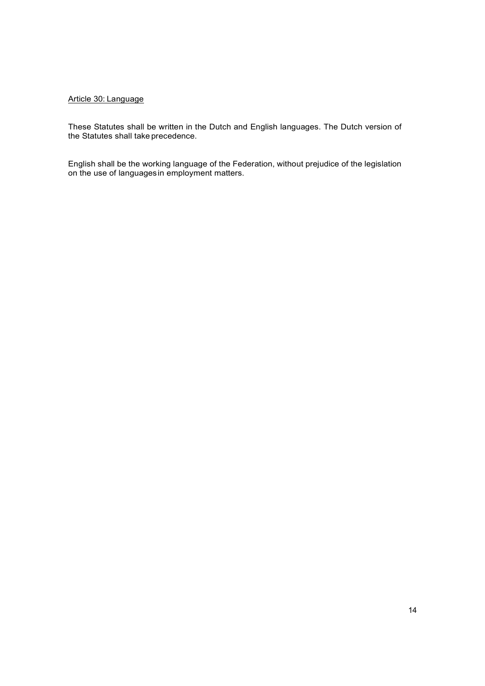## Article 30: Language

These Statutes shall be written in the Dutch and English languages. The Dutch version of the Statutes shall take precedence.

English shall be the working language of the Federation, without prejudice of the legislation on the use of languages in employment matters.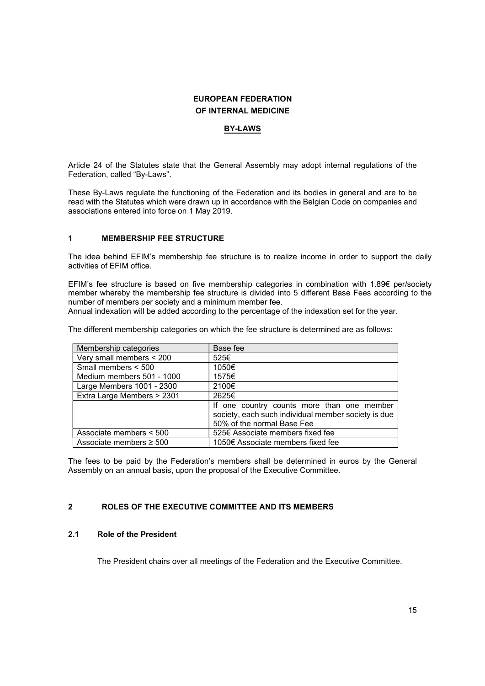# EUROPEAN FEDERATION OF INTERNAL MEDICINE

# BY-LAWS

Article 24 of the Statutes state that the General Assembly may adopt internal regulations of the Federation, called "By-Laws".

These By-Laws regulate the functioning of the Federation and its bodies in general and are to be read with the Statutes which were drawn up in accordance with the Belgian Code on companies and associations entered into force on 1 May 2019.

## 1 MEMBERSHIP FEE STRUCTURE

The idea behind EFIM's membership fee structure is to realize income in order to support the daily activities of EFIM office.

EFIM's fee structure is based on five membership categories in combination with 1.89€ per/society member whereby the membership fee structure is divided into 5 different Base Fees according to the number of members per society and a minimum member fee.

Annual indexation will be added according to the percentage of the indexation set for the year.

The different membership categories on which the fee structure is determined are as follows:

| Membership categories        | Base fee                                            |
|------------------------------|-----------------------------------------------------|
| Very small members < 200     | 525€                                                |
| Small members < 500          | 1050€                                               |
| Medium members 501 - 1000    | 1575€                                               |
| Large Members 1001 - 2300    | 2100€                                               |
| Extra Large Members > 2301   | 2625€                                               |
|                              | If one country counts more than one member          |
|                              | society, each such individual member society is due |
|                              | 50% of the normal Base Fee                          |
| Associate members < 500      | 525€ Associate members fixed fee                    |
| Associate members $\geq 500$ | 1050€ Associate members fixed fee                   |

The fees to be paid by the Federation's members shall be determined in euros by the General Assembly on an annual basis, upon the proposal of the Executive Committee.

# 2 ROLES OF THE EXECUTIVE COMMITTEE AND ITS MEMBERS

### 2.1 Role of the President

The President chairs over all meetings of the Federation and the Executive Committee.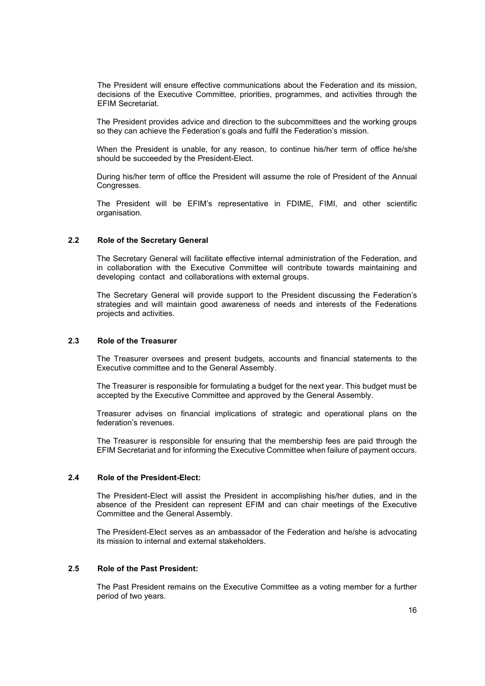The President will ensure effective communications about the Federation and its mission, decisions of the Executive Committee, priorities, programmes, and activities through the EFIM Secretariat.

The President provides advice and direction to the subcommittees and the working groups so they can achieve the Federation's goals and fulfil the Federation's mission.

When the President is unable, for any reason, to continue his/her term of office he/she should be succeeded by the President-Elect.

During his/her term of office the President will assume the role of President of the Annual Congresses.

The President will be EFIM's representative in FDIME, FIMI, and other scientific organisation.

#### 2.2 Role of the Secretary General

The Secretary General will facilitate effective internal administration of the Federation, and in collaboration with the Executive Committee will contribute towards maintaining and developing contact and collaborations with external groups.

 The Secretary General will provide support to the President discussing the Federation's strategies and will maintain good awareness of needs and interests of the Federations projects and activities.

#### 2.3 Role of the Treasurer

The Treasurer oversees and present budgets, accounts and financial statements to the Executive committee and to the General Assembly.

 The Treasurer is responsible for formulating a budget for the next year. This budget must be accepted by the Executive Committee and approved by the General Assembly.

Treasurer advises on financial implications of strategic and operational plans on the federation's revenues.

 The Treasurer is responsible for ensuring that the membership fees are paid through the EFIM Secretariat and for informing the Executive Committee when failure of payment occurs.

#### 2.4 Role of the President-Elect:

 The President-Elect will assist the President in accomplishing his/her duties, and in the absence of the President can represent EFIM and can chair meetings of the Executive Committee and the General Assembly.

 The President-Elect serves as an ambassador of the Federation and he/she is advocating its mission to internal and external stakeholders.

### 2.5 Role of the Past President:

 The Past President remains on the Executive Committee as a voting member for a further period of two years.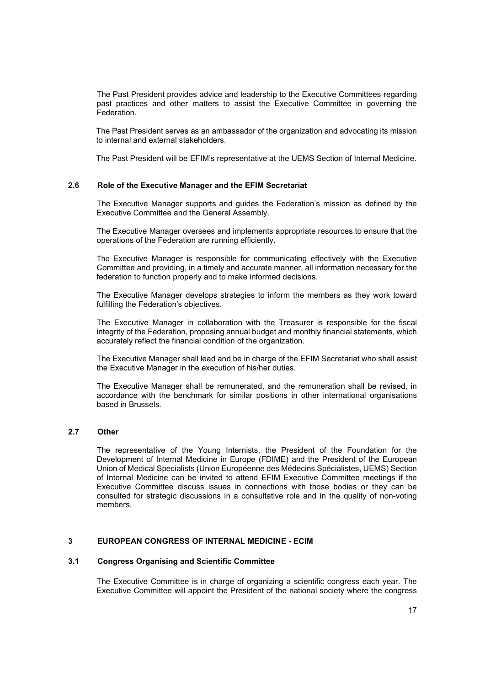The Past President provides advice and leadership to the Executive Committees regarding past practices and other matters to assist the Executive Committee in governing the Federation.

 The Past President serves as an ambassador of the organization and advocating its mission to internal and external stakeholders.

The Past President will be EFIM's representative at the UEMS Section of Internal Medicine.

#### 2.6 Role of the Executive Manager and the EFIM Secretariat

 The Executive Manager supports and guides the Federation's mission as defined by the Executive Committee and the General Assembly.

 The Executive Manager oversees and implements appropriate resources to ensure that the operations of the Federation are running efficiently.

 The Executive Manager is responsible for communicating effectively with the Executive Committee and providing, in a timely and accurate manner, all information necessary for the federation to function properly and to make informed decisions.

 The Executive Manager develops strategies to inform the members as they work toward fulfilling the Federation's objectives.

 The Executive Manager in collaboration with the Treasurer is responsible for the fiscal integrity of the Federation, proposing annual budget and monthly financial statements, which accurately reflect the financial condition of the organization.

 The Executive Manager shall lead and be in charge of the EFIM Secretariat who shall assist the Executive Manager in the execution of his/her duties.

The Executive Manager shall be remunerated, and the remuneration shall be revised, in accordance with the benchmark for similar positions in other international organisations based in Brussels.

### 2.7 Other

The representative of the Young Internists, the President of the Foundation for the Development of Internal Medicine in Europe (FDIME) and the President of the European Union of Medical Specialists (Union Européenne des Médecins Spécialistes, UEMS) Section of Internal Medicine can be invited to attend EFIM Executive Committee meetings if the Executive Committee discuss issues in connections with those bodies or they can be consulted for strategic discussions in a consultative role and in the quality of non-voting members.

### 3 EUROPEAN CONGRESS OF INTERNAL MEDICINE - ECIM

#### 3.1 Congress Organising and Scientific Committee

The Executive Committee is in charge of organizing a scientific congress each year. The Executive Committee will appoint the President of the national society where the congress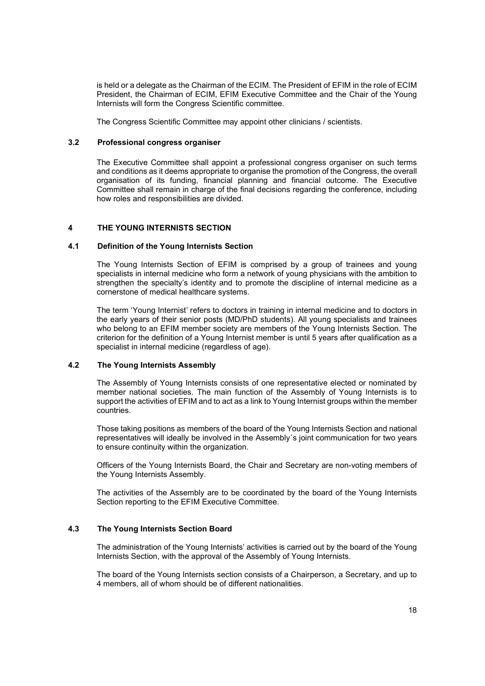is held or a delegate as the Chairman of the ECIM. The President of EFIM in the role of ECIM President, the Chairman of ECIM, EFIM Executive Committee and the Chair of the Young Internists will form the Congress Scientific committee.

The Congress Scientific Committee may appoint other clinicians / scientists.

### 3.2 Professional congress organiser

The Executive Committee shall appoint a professional congress organiser on such terms and conditions as it deems appropriate to organise the promotion of the Congress, the overall organisation of its funding, financial planning and financial outcome. The Executive Committee shall remain in charge of the final decisions regarding the conference, including how roles and responsibilities are divided.

### 4 THE YOUNG INTERNISTS SECTION

### 4.1 Definition of the Young Internists Section

The Young Internists Section of EFIM is comprised by a group of trainees and young specialists in internal medicine who form a network of young physicians with the ambition to strengthen the specialty's identity and to promote the discipline of internal medicine as a cornerstone of medical healthcare systems.

The term 'Young Internist' refers to doctors in training in internal medicine and to doctors in the early years of their senior posts (MD/PhD students). All young specialists and trainees who belong to an EFIM member society are members of the Young Internists Section. The criterion for the definition of a Young Internist member is until 5 years after qualification as a specialist in internal medicine (regardless of age).

### 4.2 The Young Internists Assembly

The Assembly of Young Internists consists of one representative elected or nominated by member national societies. The main function of the Assembly of Young Internists is to support the activities of EFIM and to act as a link to Young Internist groups within the member countries.

Those taking positions as members of the board of the Young Internists Section and national representatives will ideally be involved in the Assembly´s joint communication for two years to ensure continuity within the organization.

Officers of the Young Internists Board, the Chair and Secretary are non-voting members of the Young Internists Assembly.

The activities of the Assembly are to be coordinated by the board of the Young Internists Section reporting to the EFIM Executive Committee.

### 4.3 The Young Internists Section Board

The administration of the Young Internists' activities is carried out by the board of the Young Internists Section, with the approval of the Assembly of Young Internists.

The board of the Young Internists section consists of a Chairperson, a Secretary, and up to 4 members, all of whom should be of different nationalities.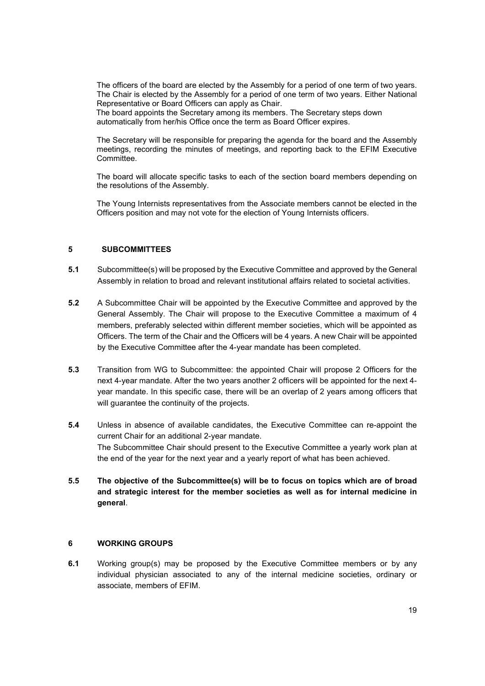The officers of the board are elected by the Assembly for a period of one term of two years. The Chair is elected by the Assembly for a period of one term of two years. Either National Representative or Board Officers can apply as Chair.

The board appoints the Secretary among its members. The Secretary steps down automatically from her/his Office once the term as Board Officer expires.

The Secretary will be responsible for preparing the agenda for the board and the Assembly meetings, recording the minutes of meetings, and reporting back to the EFIM Executive Committee.

The board will allocate specific tasks to each of the section board members depending on the resolutions of the Assembly.

The Young Internists representatives from the Associate members cannot be elected in the Officers position and may not vote for the election of Young Internists officers.

### 5 SUBCOMMITTEES

- 5.1 Subcommittee(s) will be proposed by the Executive Committee and approved by the General Assembly in relation to broad and relevant institutional affairs related to societal activities.
- 5.2 A Subcommittee Chair will be appointed by the Executive Committee and approved by the General Assembly. The Chair will propose to the Executive Committee a maximum of 4 members, preferably selected within different member societies, which will be appointed as Officers. The term of the Chair and the Officers will be 4 years. A new Chair will be appointed by the Executive Committee after the 4-year mandate has been completed.
- 5.3 Transition from WG to Subcommittee: the appointed Chair will propose 2 Officers for the next 4-year mandate. After the two years another 2 officers will be appointed for the next 4 year mandate. In this specific case, there will be an overlap of 2 years among officers that will guarantee the continuity of the projects.
- 5.4 Unless in absence of available candidates, the Executive Committee can re-appoint the current Chair for an additional 2-year mandate. The Subcommittee Chair should present to the Executive Committee a yearly work plan at the end of the year for the next year and a yearly report of what has been achieved.
- 5.5 The objective of the Subcommittee(s) will be to focus on topics which are of broad and strategic interest for the member societies as well as for internal medicine in general.

# 6 WORKING GROUPS

6.1 Working group(s) may be proposed by the Executive Committee members or by any individual physician associated to any of the internal medicine societies, ordinary or associate, members of EFIM.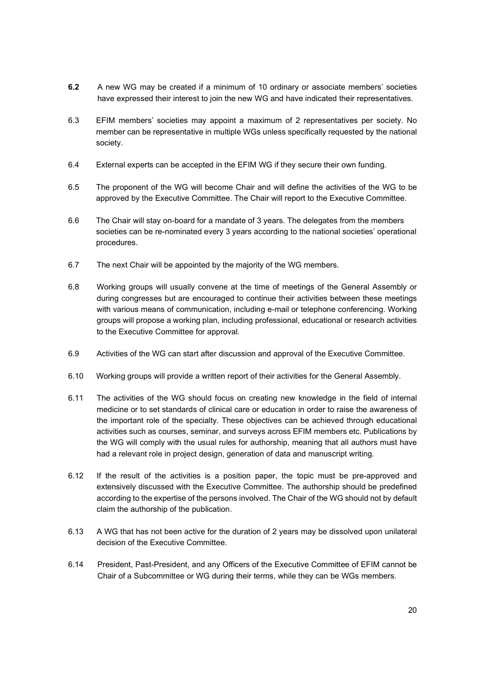- 6.2 A new WG may be created if a minimum of 10 ordinary or associate members' societies have expressed their interest to join the new WG and have indicated their representatives.
- 6.3 EFIM members' societies may appoint a maximum of 2 representatives per society. No member can be representative in multiple WGs unless specifically requested by the national society.
- 6.4 External experts can be accepted in the EFIM WG if they secure their own funding.
- 6.5 The proponent of the WG will become Chair and will define the activities of the WG to be approved by the Executive Committee. The Chair will report to the Executive Committee.
- 6.6 The Chair will stay on-board for a mandate of 3 years. The delegates from the members societies can be re-nominated every 3 years according to the national societies' operational procedures.
- 6.7 The next Chair will be appointed by the majority of the WG members.
- 6.8 Working groups will usually convene at the time of meetings of the General Assembly or during congresses but are encouraged to continue their activities between these meetings with various means of communication, including e-mail or telephone conferencing. Working groups will propose a working plan, including professional, educational or research activities to the Executive Committee for approval.
- 6.9 Activities of the WG can start after discussion and approval of the Executive Committee.
- 6.10 Working groups will provide a written report of their activities for the General Assembly.
- 6.11 The activities of the WG should focus on creating new knowledge in the field of internal medicine or to set standards of clinical care or education in order to raise the awareness of the important role of the specialty. These objectives can be achieved through educational activities such as courses, seminar, and surveys across EFIM members etc. Publications by the WG will comply with the usual rules for authorship, meaning that all authors must have had a relevant role in project design, generation of data and manuscript writing.
- 6.12 If the result of the activities is a position paper, the topic must be pre-approved and extensively discussed with the Executive Committee. The authorship should be predefined according to the expertise of the persons involved. The Chair of the WG should not by default claim the authorship of the publication.
- 6.13 A WG that has not been active for the duration of 2 years may be dissolved upon unilateral decision of the Executive Committee.
- 6.14 President, Past-President, and any Officers of the Executive Committee of EFIM cannot be Chair of a Subcommittee or WG during their terms, while they can be WGs members.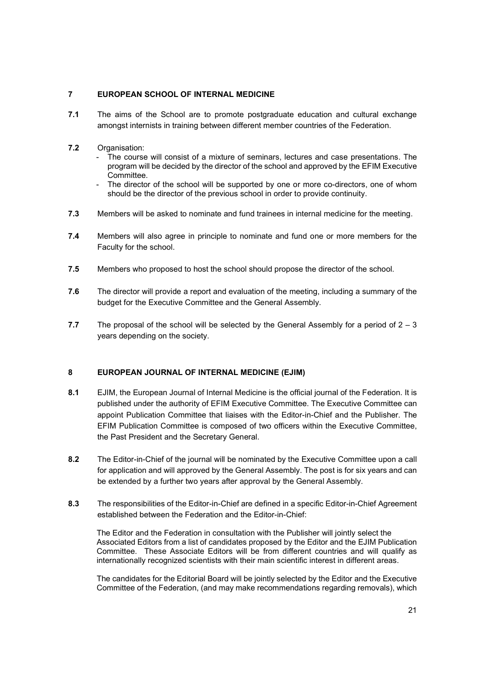# 7 EUROPEAN SCHOOL OF INTERNAL MEDICINE

7.1 The aims of the School are to promote postgraduate education and cultural exchange amongst internists in training between different member countries of the Federation.

# 7.2 Organisation:

- The course will consist of a mixture of seminars, lectures and case presentations. The program will be decided by the director of the school and approved by the EFIM Executive Committee.
- The director of the school will be supported by one or more co-directors, one of whom should be the director of the previous school in order to provide continuity.
- 7.3 Members will be asked to nominate and fund trainees in internal medicine for the meeting.
- 7.4 Members will also agree in principle to nominate and fund one or more members for the Faculty for the school.
- 7.5 Members who proposed to host the school should propose the director of the school.
- 7.6 The director will provide a report and evaluation of the meeting, including a summary of the budget for the Executive Committee and the General Assembly.
- 7.7 The proposal of the school will be selected by the General Assembly for a period of  $2 3$ years depending on the society.

# 8 EUROPEAN JOURNAL OF INTERNAL MEDICINE (EJIM)

- 8.1 EJIM, the European Journal of Internal Medicine is the official journal of the Federation. It is published under the authority of EFIM Executive Committee. The Executive Committee can appoint Publication Committee that liaises with the Editor-in-Chief and the Publisher. The EFIM Publication Committee is composed of two officers within the Executive Committee, the Past President and the Secretary General.
- 8.2 The Editor-in-Chief of the journal will be nominated by the Executive Committee upon a call for application and will approved by the General Assembly. The post is for six years and can be extended by a further two years after approval by the General Assembly.
- 8.3 The responsibilities of the Editor-in-Chief are defined in a specific Editor-in-Chief Agreement established between the Federation and the Editor-in-Chief:

The Editor and the Federation in consultation with the Publisher will jointly select the Associated Editors from a list of candidates proposed by the Editor and the EJIM Publication Committee. These Associate Editors will be from different countries and will qualify as internationally recognized scientists with their main scientific interest in different areas.

The candidates for the Editorial Board will be jointly selected by the Editor and the Executive Committee of the Federation, (and may make recommendations regarding removals), which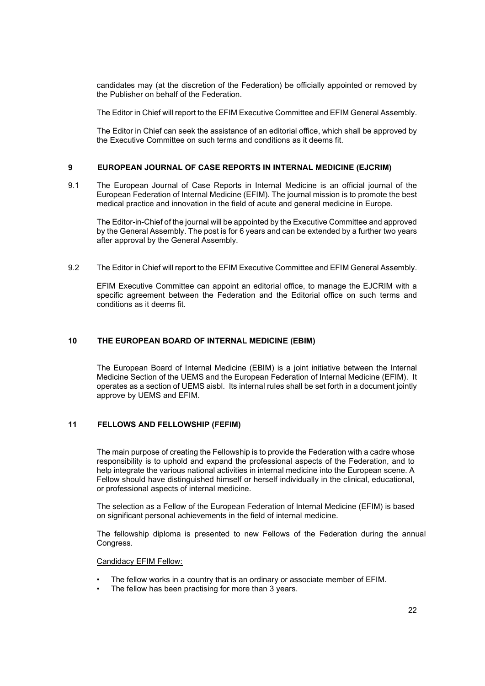candidates may (at the discretion of the Federation) be officially appointed or removed by the Publisher on behalf of the Federation.

The Editor in Chief will report to the EFIM Executive Committee and EFIM General Assembly.

The Editor in Chief can seek the assistance of an editorial office, which shall be approved by the Executive Committee on such terms and conditions as it deems fit.

## 9 EUROPEAN JOURNAL OF CASE REPORTS IN INTERNAL MEDICINE (EJCRIM)

9.1 The European Journal of Case Reports in Internal Medicine is an official journal of the European Federation of Internal Medicine (EFIM). The journal mission is to promote the best medical practice and innovation in the field of acute and general medicine in Europe.

The Editor-in-Chief of the journal will be appointed by the Executive Committee and approved by the General Assembly. The post is for 6 years and can be extended by a further two years after approval by the General Assembly.

9.2 The Editor in Chief will report to the EFIM Executive Committee and EFIM General Assembly.

EFIM Executive Committee can appoint an editorial office, to manage the EJCRIM with a specific agreement between the Federation and the Editorial office on such terms and conditions as it deems fit.

# 10 THE EUROPEAN BOARD OF INTERNAL MEDICINE (EBIM)

 The European Board of Internal Medicine (EBIM) is a joint initiative between the Internal Medicine Section of the UEMS and the European Federation of Internal Medicine (EFIM). It operates as a section of UEMS aisbl. Its internal rules shall be set forth in a document jointly approve by UEMS and EFIM.

# 11 FELLOWS AND FELLOWSHIP (FEFIM)

The main purpose of creating the Fellowship is to provide the Federation with a cadre whose responsibility is to uphold and expand the professional aspects of the Federation, and to help integrate the various national activities in internal medicine into the European scene. A Fellow should have distinguished himself or herself individually in the clinical, educational, or professional aspects of internal medicine.

The selection as a Fellow of the European Federation of Internal Medicine (EFIM) is based on significant personal achievements in the field of internal medicine.

The fellowship diploma is presented to new Fellows of the Federation during the annual Congress.

#### Candidacy EFIM Fellow:

- The fellow works in a country that is an ordinary or associate member of EFIM.
- The fellow has been practising for more than 3 years.